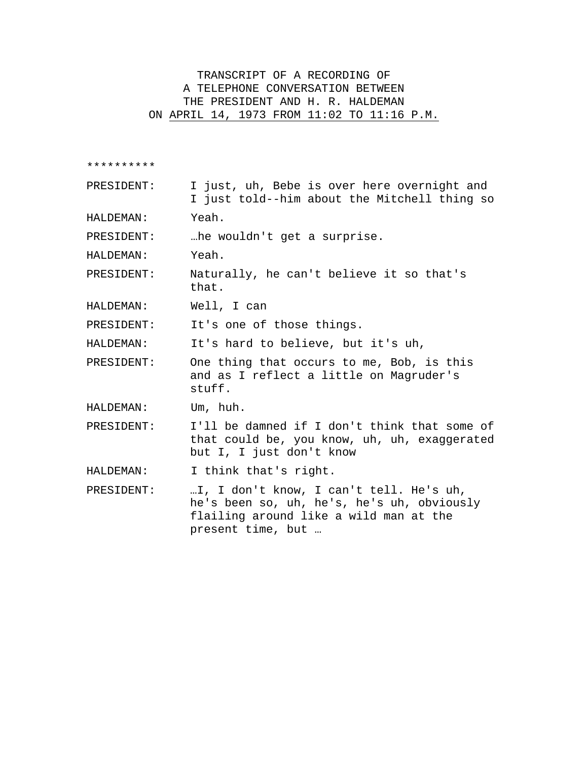## TRANSCRIPT OF A RECORDING OF A TELEPHONE CONVERSATION BETWEEN THE PRESIDENT AND H. R. HALDEMAN ON APRIL 14, 1973 FROM 11:02 TO 11:16 P.M.

\*\*\*\*\*\*\*\*\*\*

PRESIDENT: I just, uh, Bebe is over here overnight and I just told--him about the Mitchell thing so

HALDEMAN: Yeah.

PRESIDENT: …he wouldn't get a surprise.

HALDEMAN: Yeah.

PRESIDENT: Naturally, he can't believe it so that's that.

HALDEMAN: Well, I can

PRESIDENT: It's one of those things.

HALDEMAN: It's hard to believe, but it's uh,

PRESIDENT: One thing that occurs to me, Bob, is this and as I reflect a little on Magruder's stuff.

HALDEMAN: Um, huh.

PRESIDENT: I'll be damned if I don't think that some of that could be, you know, uh, uh, exaggerated but I, I just don't know

HALDEMAN: I think that's right.

PRESIDENT: …I, I don't know, I can't tell. He's uh, he's been so, uh, he's, he's uh, obviously flailing around like a wild man at the present time, but …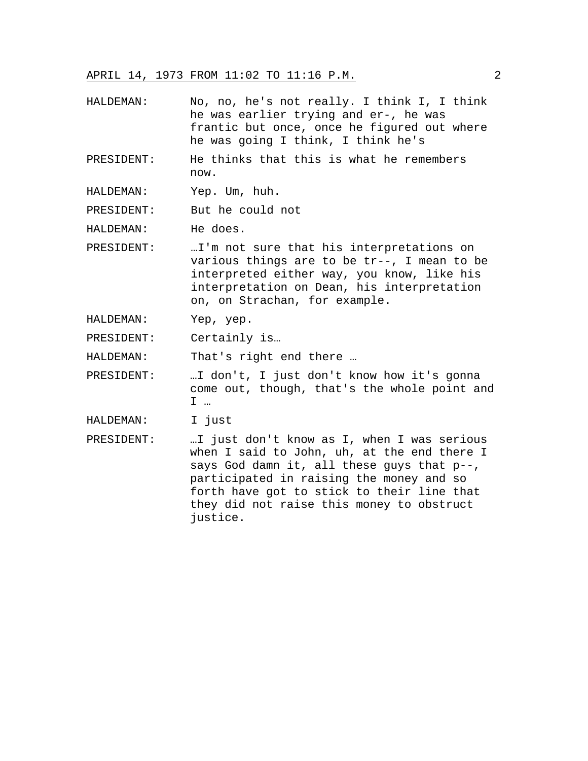APRIL 14, 1973 FROM 11:02 TO 11:16 P.M. 2

- HALDEMAN: No, no, he's not really. I think I, I think he was earlier trying and er-, he was frantic but once, once he figured out where he was going I think, I think he's
- PRESIDENT: He thinks that this is what he remembers now.
- HALDEMAN: Yep. Um, huh.

PRESIDENT: But he could not

HALDEMAN: He does.

- PRESIDENT: …I'm not sure that his interpretations on various things are to be tr--, I mean to be interpreted either way, you know, like his interpretation on Dean, his interpretation on, on Strachan, for example.
- HALDEMAN: Yep, yep.
- PRESIDENT: Certainly is…

HALDEMAN: That's right end there …

- PRESIDENT: …I don't, I just don't know how it's gonna come out, though, that's the whole point and I …
- HALDEMAN: I just
- PRESIDENT: …I just don't know as I, when I was serious when I said to John, uh, at the end there I says God damn it, all these guys that p--, participated in raising the money and so forth have got to stick to their line that they did not raise this money to obstruct justice.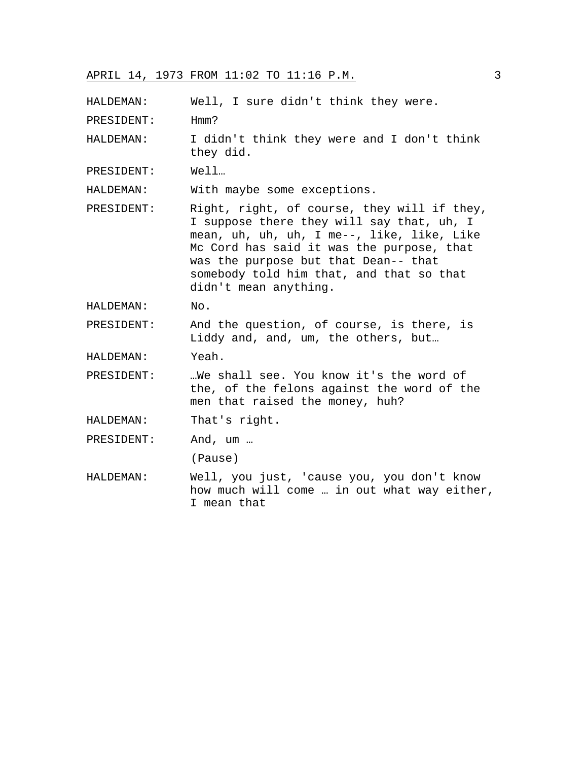HALDEMAN: Well, I sure didn't think they were.

PRESIDENT: Hmm?

HALDEMAN: I didn't think they were and I don't think they did.

PRESIDENT: Well…

HALDEMAN: With maybe some exceptions.

- PRESIDENT: Right, right, of course, they will if they, I suppose there they will say that, uh, I mean, uh, uh, uh, I me--, like, like, Like Mc Cord has said it was the purpose, that was the purpose but that Dean-- that somebody told him that, and that so that didn't mean anything.
- HALDEMAN: No.

PRESIDENT: And the question, of course, is there, is Liddy and, and, um, the others, but…

HALDEMAN: Yeah.

PRESIDENT: …We shall see. You know it's the word of the, of the felons against the word of the men that raised the money, huh?

HALDEMAN: That's right.

PRESIDENT: And, um …

(Pause)

HALDEMAN: Well, you just, 'cause you, you don't know how much will come … in out what way either, I mean that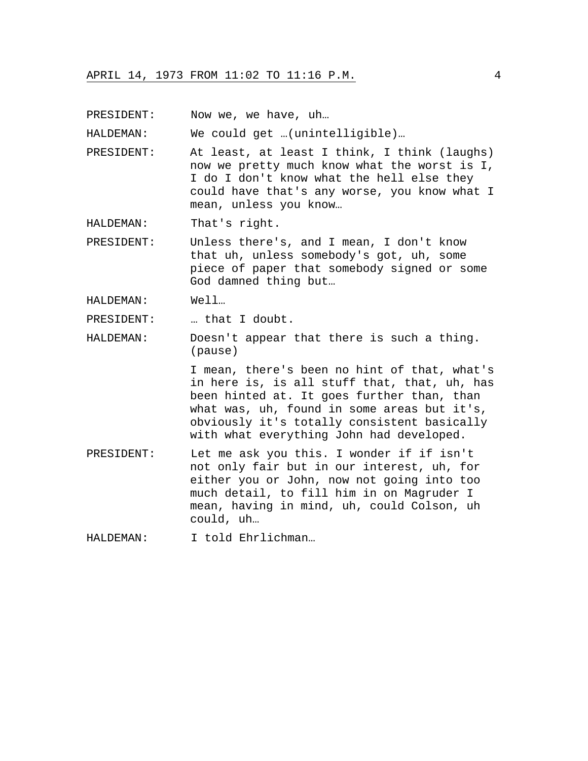PRESIDENT: Now we, we have, uh...

HALDEMAN: We could get …(unintelligible)…

PRESIDENT: At least, at least I think, I think (laughs) now we pretty much know what the worst is I, I do I don't know what the hell else they could have that's any worse, you know what I mean, unless you know…

HALDEMAN: That's right.

PRESIDENT: Unless there's, and I mean, I don't know that uh, unless somebody's got, uh, some piece of paper that somebody signed or some God damned thing but…

HALDEMAN: Well…

PRESIDENT: … that I doubt.

HALDEMAN: Doesn't appear that there is such a thing. (pause)

> I mean, there's been no hint of that, what's in here is, is all stuff that, that, uh, has been hinted at. It goes further than, than what was, uh, found in some areas but it's, obviously it's totally consistent basically with what everything John had developed.

PRESIDENT: Let me ask you this. I wonder if if isn't not only fair but in our interest, uh, for either you or John, now not going into too much detail, to fill him in on Magruder I mean, having in mind, uh, could Colson, uh could, uh…

HALDEMAN: I told Ehrlichman…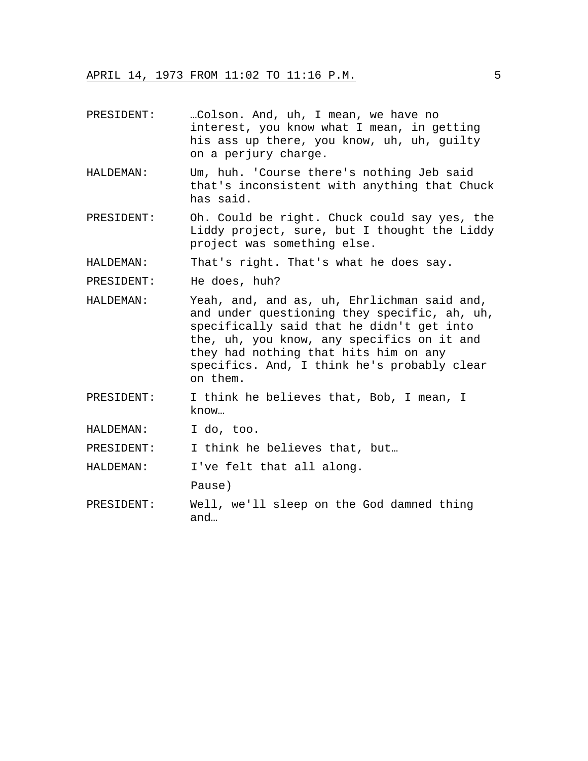| PRESIDENT: | Colson. And, uh, I mean, we have no<br>interest, you know what I mean, in getting<br>his ass up there, you know, uh, uh, guilty<br>on a perjury charge.                                                                                                                                    |
|------------|--------------------------------------------------------------------------------------------------------------------------------------------------------------------------------------------------------------------------------------------------------------------------------------------|
| HALDEMAN:  | Um, huh. 'Course there's nothing Jeb said<br>that's inconsistent with anything that Chuck<br>has said.                                                                                                                                                                                     |
| PRESIDENT: | Oh. Could be right. Chuck could say yes, the<br>Liddy project, sure, but I thought the Liddy<br>project was something else.                                                                                                                                                                |
| HALDEMAN:  | That's right. That's what he does say.                                                                                                                                                                                                                                                     |
| PRESIDENT: | He does, huh?                                                                                                                                                                                                                                                                              |
| HALDEMAN:  | Yeah, and, and as, uh, Ehrlichman said and,<br>and under questioning they specific, ah, uh,<br>specifically said that he didn't get into<br>the, uh, you know, any specifics on it and<br>they had nothing that hits him on any<br>specifics. And, I think he's probably clear<br>on them. |
| PRESIDENT: | I think he believes that, Bob, I mean, I<br>know                                                                                                                                                                                                                                           |
| HALDEMAN:  | I do, too.                                                                                                                                                                                                                                                                                 |
| PRESIDENT: | I think he believes that, but                                                                                                                                                                                                                                                              |

HALDEMAN: I've felt that all along.

Pause)

PRESIDENT: Well, we'll sleep on the God damned thing and…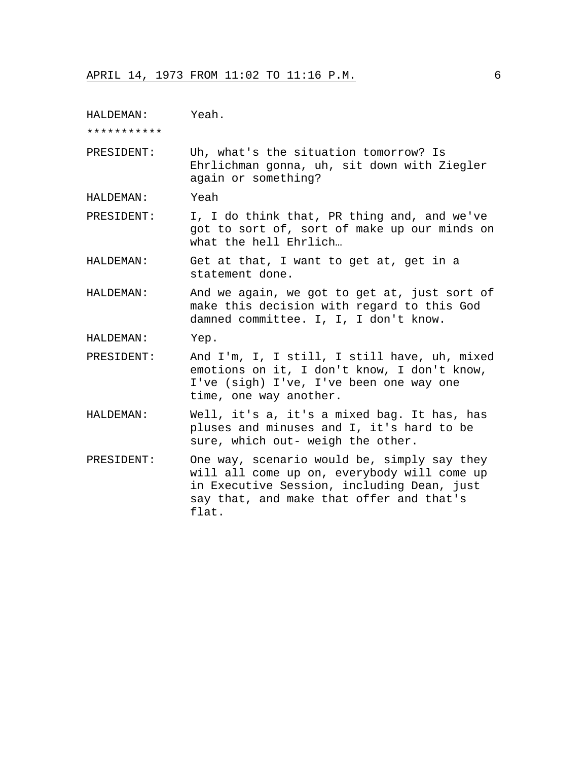HALDEMAN: Yeah.

\*\*\*\*\*\*\*\*\*\*\*

PRESIDENT: Uh, what's the situation tomorrow? Is Ehrlichman gonna, uh, sit down with Ziegler again or something?

HALDEMAN: Yeah

PRESIDENT: I, I do think that, PR thing and, and we've got to sort of, sort of make up our minds on what the hell Ehrlich…

HALDEMAN: Get at that, I want to get at, get in a statement done.

HALDEMAN: And we again, we got to get at, just sort of make this decision with regard to this God damned committee. I, I, I don't know.

- HALDEMAN: Yep.
- PRESIDENT: And I'm, I, I still, I still have, uh, mixed emotions on it, I don't know, I don't know, I've (sigh) I've, I've been one way one time, one way another.
- HALDEMAN: Well, it's a, it's a mixed bag. It has, has pluses and minuses and I, it's hard to be sure, which out- weigh the other.
- PRESIDENT: One way, scenario would be, simply say they will all come up on, everybody will come up in Executive Session, including Dean, just say that, and make that offer and that's flat.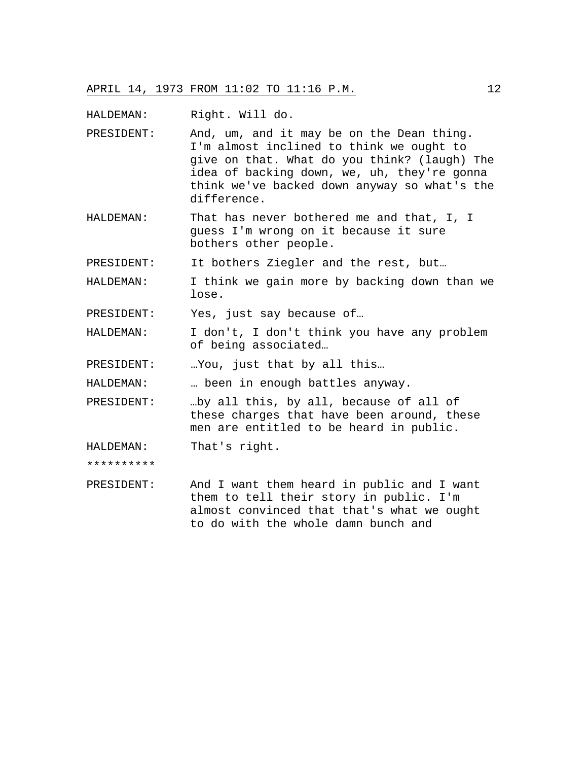HALDEMAN: Right. Will do.

- PRESIDENT: And, um, and it may be on the Dean thing. I'm almost inclined to think we ought to give on that. What do you think? (laugh) The idea of backing down, we, uh, they're gonna think we've backed down anyway so what's the difference.
- HALDEMAN: That has never bothered me and that, I, I guess I'm wrong on it because it sure bothers other people.

PRESIDENT: It bothers Ziegler and the rest, but…

HALDEMAN: I think we gain more by backing down than we lose.

PRESIDENT: Yes, just say because of…

HALDEMAN: I don't, I don't think you have any problem of being associated…

PRESIDENT: ... You, just that by all this...

HALDEMAN: … been in enough battles anyway.

PRESIDENT: …by all this, by all, because of all of these charges that have been around, these men are entitled to be heard in public.

HALDEMAN: That's right.

\*\*\*\*\*\*\*\*\*\*

PRESIDENT: And I want them heard in public and I want them to tell their story in public. I'm almost convinced that that's what we ought to do with the whole damn bunch and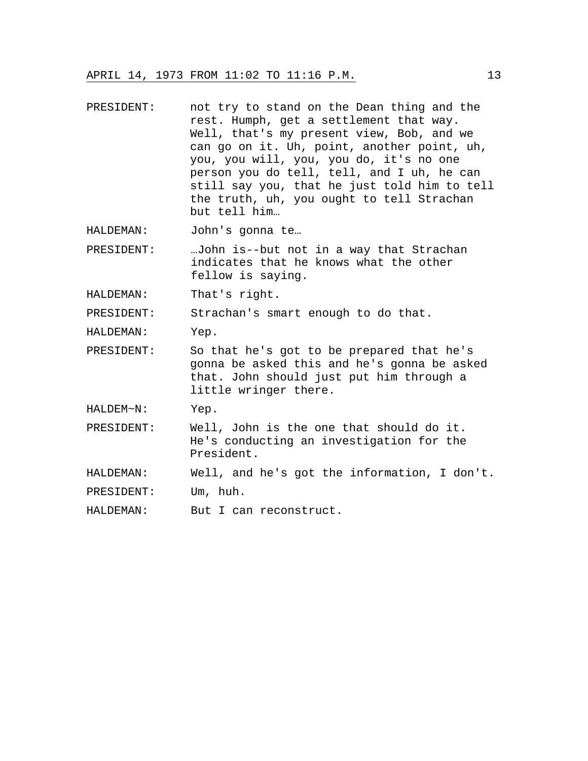- PRESIDENT: not try to stand on the Dean thing and the rest. Humph, get a settlement that way. Well, that's my present view, Bob, and we can go on it. Uh, point, another point, uh, you, you will, you, you do, it's no one person you do tell, tell, and I uh, he can still say you, that he just told him to tell the truth, uh, you ought to tell Strachan but tell him…
- HALDEMAN: John's gonna te…
- PRESIDENT: …John is--but not in a way that Strachan indicates that he knows what the other fellow is saying.
- HALDEMAN: That's right.

PRESIDENT: Strachan's smart enough to do that.

HALDEMAN: Yep.

PRESIDENT: So that he's got to be prepared that he's gonna be asked this and he's gonna be asked that. John should just put him through a little wringer there.

HALDEM~N: Yep.

- PRESIDENT: Well, John is the one that should do it. He's conducting an investigation for the President.
- HALDEMAN: Well, and he's got the information, I don't.

PRESIDENT: Um, huh.

HALDEMAN: But I can reconstruct.